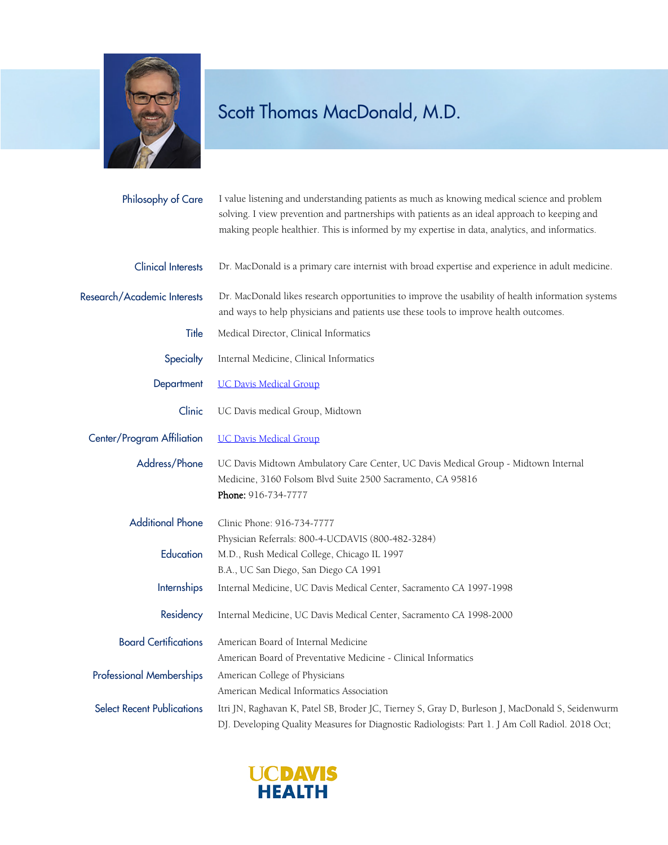

## Scott Thomas MacDonald, M.D.

| Philosophy of Care                   | I value listening and understanding patients as much as knowing medical science and problem<br>solving. I view prevention and partnerships with patients as an ideal approach to keeping and<br>making people healthier. This is informed by my expertise in data, analytics, and informatics. |
|--------------------------------------|------------------------------------------------------------------------------------------------------------------------------------------------------------------------------------------------------------------------------------------------------------------------------------------------|
| <b>Clinical Interests</b>            | Dr. MacDonald is a primary care internist with broad expertise and experience in adult medicine.                                                                                                                                                                                               |
| Research/Academic Interests          | Dr. MacDonald likes research opportunities to improve the usability of health information systems<br>and ways to help physicians and patients use these tools to improve health outcomes.                                                                                                      |
| Title                                | Medical Director, Clinical Informatics                                                                                                                                                                                                                                                         |
| Specialty                            | Internal Medicine, Clinical Informatics                                                                                                                                                                                                                                                        |
| Department                           | <b>UC Davis Medical Group</b>                                                                                                                                                                                                                                                                  |
| Clinic                               | UC Davis medical Group, Midtown                                                                                                                                                                                                                                                                |
| Center/Program Affiliation           | <b>UC Davis Medical Group</b>                                                                                                                                                                                                                                                                  |
| Address/Phone                        | UC Davis Midtown Ambulatory Care Center, UC Davis Medical Group - Midtown Internal<br>Medicine, 3160 Folsom Blvd Suite 2500 Sacramento, CA 95816<br>Phone: 916-734-7777                                                                                                                        |
| <b>Additional Phone</b><br>Education | Clinic Phone: 916-734-7777<br>Physician Referrals: 800-4-UCDAVIS (800-482-3284)<br>M.D., Rush Medical College, Chicago IL 1997                                                                                                                                                                 |
| <b>Internships</b>                   | B.A., UC San Diego, San Diego CA 1991<br>Internal Medicine, UC Davis Medical Center, Sacramento CA 1997-1998                                                                                                                                                                                   |
| Residency                            | Internal Medicine, UC Davis Medical Center, Sacramento CA 1998-2000                                                                                                                                                                                                                            |
| <b>Board Certifications</b>          | American Board of Internal Medicine<br>American Board of Preventative Medicine - Clinical Informatics                                                                                                                                                                                          |
| <b>Professional Memberships</b>      | American College of Physicians<br>American Medical Informatics Association                                                                                                                                                                                                                     |
| <b>Select Recent Publications</b>    | Itri JN, Raghavan K, Patel SB, Broder JC, Tierney S, Gray D, Burleson J, MacDonald S, Seidenwurm<br>DJ. Developing Quality Measures for Diagnostic Radiologists: Part 1. J Am Coll Radiol. 2018 Oct;                                                                                           |